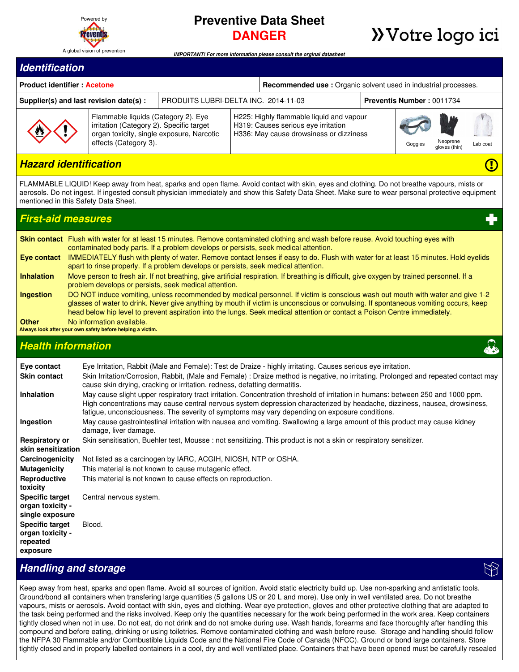

# **Preventive Data Sheet DANGER**

# **>>**Votre logo ici

Œ

*IMPORTANT! For more information please consult the orginal datasheet*

#### *Identification*

| <b>Product identifier Acetone</b>      |                                                                                                                                                       |                                      |                                                                                                                            | <b>Recommended use:</b> Organic solvent used in industrial processes. |  |         |                           |          |  |
|----------------------------------------|-------------------------------------------------------------------------------------------------------------------------------------------------------|--------------------------------------|----------------------------------------------------------------------------------------------------------------------------|-----------------------------------------------------------------------|--|---------|---------------------------|----------|--|
| Supplier(s) and last revision date(s): |                                                                                                                                                       | PRODUITS LUBRI-DELTA INC. 2014-11-03 |                                                                                                                            | <b>Preventis Number: 0011734</b>                                      |  |         |                           |          |  |
| $\overline{\mathbf{u}}$                | Flammable liquids (Category 2). Eye<br>irritation (Category 2). Specific target<br>organ toxicity, single exposure, Narcotic<br>effects (Category 3). |                                      | H225: Highly flammable liquid and vapour<br>H319: Causes serious eye irritation<br>H336: May cause drowsiness or dizziness |                                                                       |  | Goggles | Neoprene<br>gloves (thin) | Lab coat |  |

## *Hazard identification*

FLAMMABLE LIQUID! Keep away from heat, sparks and open flame. Avoid contact with skin, eyes and clothing. Do not breathe vapours, mists or aerosols. Do not ingest. If ingested consult physician immediately and show this Safety Data Sheet. Make sure to wear personal protective equipment mentioned in this Safety Data Sheet.

#### *First-aid measures* **Skin contact** Flush with water for at least 15 minutes. Remove contaminated clothing and wash before reuse. Avoid touching eyes with contaminated body parts. If a problem develops or persists, seek medical attention. **Eye contact** IMMEDIATELY flush with plenty of water. Remove contact lenses if easy to do. Flush with water for at least 15 minutes. Hold eyelids apart to rinse properly. If a problem develops or persists, seek medical attention. **Inhalation** Move person to fresh air. If not breathing, give artificial respiration. If breathing is difficult, give oxygen by trained personnel. If a problem develops or persists, seek medical attention. **Ingestion** DO NOT induce vomiting, unless recommended by medical personnel. If victim is conscious wash out mouth with water and give 1-2 glasses of water to drink. Never give anything by mouth if victim is unconscious or convulsing. If spontaneous vomiting occurs, keep head below hip level to prevent aspiration into the lungs. Seek medical attention or contact a Poison Centre immediately. **Other** No information available. **Always look after your own safety before helping a victim.** *Health information*

| Eye contact                                                        | Eye Irritation, Rabbit (Male and Female): Test de Draize - highly irritating. Causes serious eye irritation.                                                                                                                                                                                                                                                  |
|--------------------------------------------------------------------|---------------------------------------------------------------------------------------------------------------------------------------------------------------------------------------------------------------------------------------------------------------------------------------------------------------------------------------------------------------|
| <b>Skin contact</b>                                                | Skin Irritation/Corrosion, Rabbit, (Male and Female): Draize method is negative, no irritating. Prolonged and repeated contact may<br>cause skin drying, cracking or irritation. redness, defatting dermatitis.                                                                                                                                               |
| <b>Inhalation</b>                                                  | May cause slight upper respiratory tract irritation. Concentration threshold of irritation in humans: between 250 and 1000 ppm.<br>High concentrations may cause central nervous system depression characterized by headache, dizziness, nausea, drowsiness,<br>fatigue, unconsciousness. The severity of symptoms may vary depending on exposure conditions. |
| Ingestion                                                          | May cause gastrointestinal irritation with nausea and vomiting. Swallowing a large amount of this product may cause kidney<br>damage, liver damage.                                                                                                                                                                                                           |
| <b>Respiratory or</b><br>skin sensitization                        | Skin sensitisation, Buehler test, Mousse : not sensitizing. This product is not a skin or respiratory sensitizer.                                                                                                                                                                                                                                             |
| Carcinogenicity                                                    | Not listed as a carcinogen by IARC, ACGIH, NIOSH, NTP or OSHA.                                                                                                                                                                                                                                                                                                |
| <b>Mutagenicity</b>                                                | This material is not known to cause mutagenic effect.                                                                                                                                                                                                                                                                                                         |
| Reproductive<br>toxicity                                           | This material is not known to cause effects on reproduction.                                                                                                                                                                                                                                                                                                  |
| <b>Specific target</b><br>organ toxicity -<br>single exposure      | Central nervous system.                                                                                                                                                                                                                                                                                                                                       |
| <b>Specific target</b><br>organ toxicity -<br>repeated<br>exposure | Blood.                                                                                                                                                                                                                                                                                                                                                        |

## *Handling and storage*

Keep away from heat, sparks and open flame. Avoid all sources of ignition. Avoid static electricity build up. Use non-sparking and antistatic tools. Ground/bond all containers when transfering large quantities (5 gallons US or 20 L and more). Use only in well ventilated area. Do not breathe vapours, mists or aerosols. Avoid contact with skin, eyes and clothing. Wear eye protection, gloves and other protective clothing that are adapted to the task being performed and the risks involved. Keep only the quantities necessary for the work being performed in the work area. Keep containers tightly closed when not in use. Do not eat, do not drink and do not smoke during use. Wash hands, forearms and face thoroughly after handling this compound and before eating, drinking or using toiletries. Remove contaminated clothing and wash before reuse. Storage and handling should follow the NFPA 30 Flammable and/or Combustible Liquids Code and the National Fire Code of Canada (NFCC). Ground or bond large containers. Store tightly closed and in properly labelled containers in a cool, dry and well ventilated place. Containers that have been opened must be carefully resealed